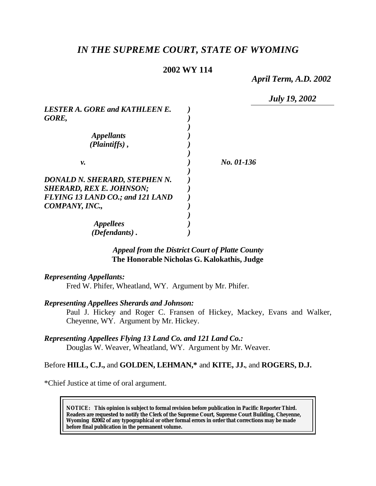# *IN THE SUPREME COURT, STATE OF WYOMING*

### **2002 WY 114**

*April Term, A.D. 2002*

*July 19, 2002*

| <i>No. 01-136</i> |
|-------------------|
|                   |
|                   |
|                   |
|                   |
|                   |
|                   |
|                   |
|                   |
|                   |

#### *Appeal from the District Court of Platte County* **The Honorable Nicholas G. Kalokathis, Judge**

#### *Representing Appellants:*

Fred W. Phifer, Wheatland, WY. Argument by Mr. Phifer.

#### *Representing Appellees Sherards and Johnson:*

Paul J. Hickey and Roger C. Fransen of Hickey, Mackey, Evans and Walker, Cheyenne, WY. Argument by Mr. Hickey.

#### *Representing Appellees Flying 13 Land Co. and 121 Land Co.:*

Douglas W. Weaver, Wheatland, WY. Argument by Mr. Weaver.

### Before **HILL, C.J.,** and **GOLDEN, LEHMAN,\*** and **KITE, JJ.**, and **ROGERS, D.J.**

\*Chief Justice at time of oral argument.

**NOTICE:** *This opinion is subject to formal revision before publication in Pacific Reporter Third. Readers are requested to notify the Clerk of the Supreme Court, Supreme Court Building, Cheyenne, Wyoming 82002 of any typographical or other formal errors in order that corrections may be made before final publication in the permanent volume.*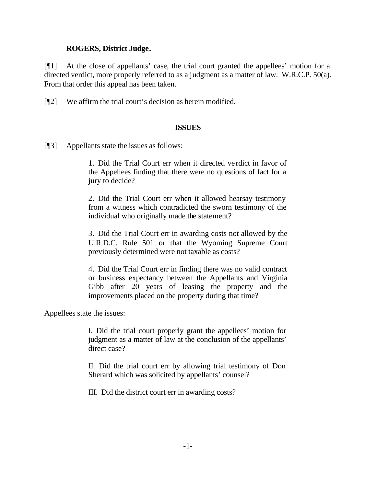### **ROGERS, District Judge.**

[¶1] At the close of appellants' case, the trial court granted the appellees' motion for a directed verdict, more properly referred to as a judgment as a matter of law. W.R.C.P. 50(a). From that order this appeal has been taken.

[¶2] We affirm the trial court's decision as herein modified.

#### **ISSUES**

[¶3] Appellants state the issues as follows:

1. Did the Trial Court err when it directed verdict in favor of the Appellees finding that there were no questions of fact for a jury to decide?

2. Did the Trial Court err when it allowed hearsay testimony from a witness which contradicted the sworn testimony of the individual who originally made the statement?

3. Did the Trial Court err in awarding costs not allowed by the U.R.D.C. Rule 501 or that the Wyoming Supreme Court previously determined were not taxable as costs?

4. Did the Trial Court err in finding there was no valid contract or business expectancy between the Appellants and Virginia Gibb after 20 years of leasing the property and the improvements placed on the property during that time?

Appellees state the issues:

I. Did the trial court properly grant the appellees' motion for judgment as a matter of law at the conclusion of the appellants' direct case?

II. Did the trial court err by allowing trial testimony of Don Sherard which was solicited by appellants' counsel?

III. Did the district court err in awarding costs?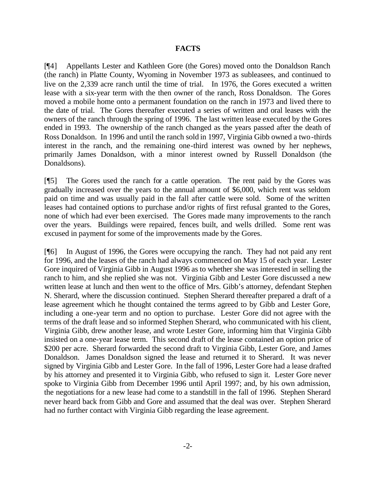#### **FACTS**

[¶4] Appellants Lester and Kathleen Gore (the Gores) moved onto the Donaldson Ranch (the ranch) in Platte County, Wyoming in November 1973 as subleasees, and continued to live on the 2,339 acre ranch until the time of trial. In 1976, the Gores executed a written lease with a six-year term with the then owner of the ranch, Ross Donaldson. The Gores moved a mobile home onto a permanent foundation on the ranch in 1973 and lived there to the date of trial. The Gores thereafter executed a series of written and oral leases with the owners of the ranch through the spring of 1996. The last written lease executed by the Gores ended in 1993. The ownership of the ranch changed as the years passed after the death of Ross Donaldson. In 1996 and until the ranch sold in 1997, Virginia Gibb owned a two-thirds interest in the ranch, and the remaining one-third interest was owned by her nephews, primarily James Donaldson, with a minor interest owned by Russell Donaldson (the Donaldsons).

[¶5] The Gores used the ranch for a cattle operation. The rent paid by the Gores was gradually increased over the years to the annual amount of \$6,000, which rent was seldom paid on time and was usually paid in the fall after cattle were sold. Some of the written leases had contained options to purchase and/or rights of first refusal granted to the Gores, none of which had ever been exercised. The Gores made many improvements to the ranch over the years. Buildings were repaired, fences built, and wells drilled. Some rent was excused in payment for some of the improvements made by the Gores.

[¶6] In August of 1996, the Gores were occupying the ranch. They had not paid any rent for 1996, and the leases of the ranch had always commenced on May 15 of each year. Lester Gore inquired of Virginia Gibb in August 1996 as to whether she was interested in selling the ranch to him, and she replied she was not. Virginia Gibb and Lester Gore discussed a new written lease at lunch and then went to the office of Mrs. Gibb's attorney, defendant Stephen N. Sherard, where the discussion continued. Stephen Sherard thereafter prepared a draft of a lease agreement which he thought contained the terms agreed to by Gibb and Lester Gore, including a one-year term and no option to purchase. Lester Gore did not agree with the terms of the draft lease and so informed Stephen Sherard, who communicated with his client, Virginia Gibb, drew another lease, and wrote Lester Gore, informing him that Virginia Gibb insisted on a one-year lease term. This second draft of the lease contained an option price of \$200 per acre. Sherard forwarded the second draft to Virginia Gibb, Lester Gore, and James Donaldson. James Donaldson signed the lease and returned it to Sherard. It was never signed by Virginia Gibb and Lester Gore. In the fall of 1996, Lester Gore had a lease drafted by his attorney and presented it to Virginia Gibb, who refused to sign it. Lester Gore never spoke to Virginia Gibb from December 1996 until April 1997; and, by his own admission, the negotiations for a new lease had come to a standstill in the fall of 1996. Stephen Sherard never heard back from Gibb and Gore and assumed that the deal was over. Stephen Sherard had no further contact with Virginia Gibb regarding the lease agreement.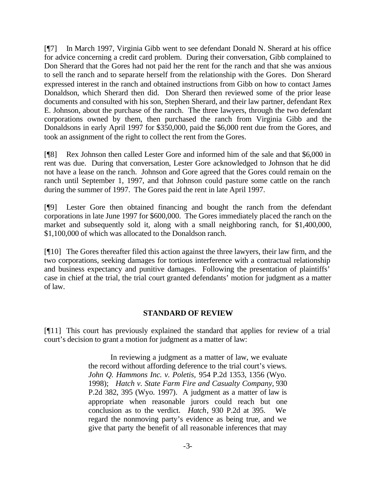[¶7] In March 1997, Virginia Gibb went to see defendant Donald N. Sherard at his office for advice concerning a credit card problem. During their conversation, Gibb complained to Don Sherard that the Gores had not paid her the rent for the ranch and that she was anxious to sell the ranch and to separate herself from the relationship with the Gores. Don Sherard expressed interest in the ranch and obtained instructions from Gibb on how to contact James Donaldson, which Sherard then did. Don Sherard then reviewed some of the prior lease documents and consulted with his son, Stephen Sherard, and their law partner, defendant Rex E. Johnson, about the purchase of the ranch. The three lawyers, through the two defendant corporations owned by them, then purchased the ranch from Virginia Gibb and the Donaldsons in early April 1997 for \$350,000, paid the \$6,000 rent due from the Gores, and took an assignment of the right to collect the rent from the Gores.

[¶8] Rex Johnson then called Lester Gore and informed him of the sale and that \$6,000 in rent was due. During that conversation, Lester Gore acknowledged to Johnson that he did not have a lease on the ranch. Johnson and Gore agreed that the Gores could remain on the ranch until September 1, 1997, and that Johnson could pasture some cattle on the ranch during the summer of 1997. The Gores paid the rent in late April 1997.

[¶9] Lester Gore then obtained financing and bought the ranch from the defendant corporations in late June 1997 for \$600,000. The Gores immediately placed the ranch on the market and subsequently sold it, along with a small neighboring ranch, for \$1,400,000, \$1,100,000 of which was allocated to the Donaldson ranch.

[¶10] The Gores thereafter filed this action against the three lawyers, their law firm, and the two corporations, seeking damages for tortious interference with a contractual relationship and business expectancy and punitive damages. Following the presentation of plaintiffs' case in chief at the trial, the trial court granted defendants' motion for judgment as a matter of law.

### **STANDARD OF REVIEW**

[¶11] This court has previously explained the standard that applies for review of a trial court's decision to grant a motion for judgment as a matter of law:

> In reviewing a judgment as a matter of law, we evaluate the record without affording deference to the trial court's views. *John Q. Hammons Inc. v. Poletis,* 954 P.2d 1353, 1356 (Wyo. 1998); *Hatch v. State Farm Fire and Casualty Company*, 930 P.2d 382, 395 (Wyo. 1997). A judgment as a matter of law is appropriate when reasonable jurors could reach but one conclusion as to the verdict. *Hatch*, 930 P.2d at 395. We regard the nonmoving party's evidence as being true, and we give that party the benefit of all reasonable inferences that may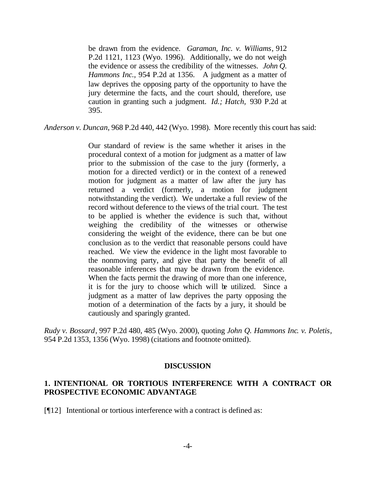be drawn from the evidence. *Garaman, Inc. v. Williams*, 912 P.2d 1121, 1123 (Wyo. 1996). Additionally, we do not weigh the evidence or assess the credibility of the witnesses. *John Q. Hammons Inc.*, 954 P.2d at 1356. A judgment as a matter of law deprives the opposing party of the opportunity to have the jury determine the facts, and the court should, therefore, use caution in granting such a judgment. *Id.; Hatch,* 930 P.2d at 395.

*Anderson v. Duncan*, 968 P.2d 440, 442 (Wyo. 1998). More recently this court has said:

Our standard of review is the same whether it arises in the procedural context of a motion for judgment as a matter of law prior to the submission of the case to the jury (formerly, a motion for a directed verdict) or in the context of a renewed motion for judgment as a matter of law after the jury has returned a verdict (formerly, a motion for judgment notwithstanding the verdict). We undertake a full review of the record without deference to the views of the trial court. The test to be applied is whether the evidence is such that, without weighing the credibility of the witnesses or otherwise considering the weight of the evidence, there can be but one conclusion as to the verdict that reasonable persons could have reached. We view the evidence in the light most favorable to the nonmoving party, and give that party the benefit of all reasonable inferences that may be drawn from the evidence. When the facts permit the drawing of more than one inference, it is for the jury to choose which will be utilized. Since a judgment as a matter of law deprives the party opposing the motion of a determination of the facts by a jury, it should be cautiously and sparingly granted.

*Rudy v. Bossard*, 997 P.2d 480, 485 (Wyo. 2000), quoting *John Q. Hammons Inc. v. Poletis*, 954 P.2d 1353, 1356 (Wyo. 1998) (citations and footnote omitted).

#### **DISCUSSION**

### **1. INTENTIONAL OR TORTIOUS INTERFERENCE WITH A CONTRACT OR PROSPECTIVE ECONOMIC ADVANTAGE**

[¶12] Intentional or tortious interference with a contract is defined as: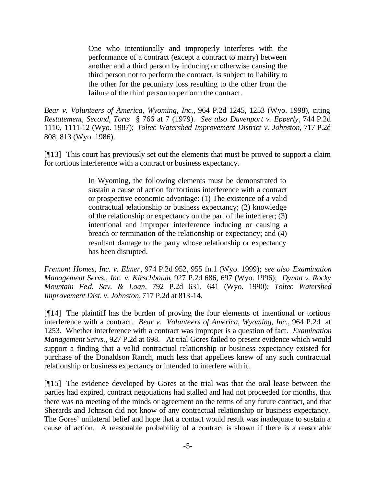One who intentionally and improperly interferes with the performance of a contract (except a contract to marry) between another and a third person by inducing or otherwise causing the third person not to perform the contract, is subject to liability to the other for the pecuniary loss resulting to the other from the failure of the third person to perform the contract.

*Bear v. Volunteers of America, Wyoming, Inc.*, 964 P.2d 1245, 1253 (Wyo. 1998), citing *Restatement, Second, Torts* § 766 at 7 (1979). *See also Davenport v. Epperly*, 744 P.2d 1110, 1111-12 (Wyo. 1987); *Toltec Watershed Improvement District v. Johnston*, 717 P.2d 808, 813 (Wyo. 1986).

[¶13] This court has previously set out the elements that must be proved to support a claim for tortious interference with a contract or business expectancy.

> In Wyoming, the following elements must be demonstrated to sustain a cause of action for tortious interference with a contract or prospective economic advantage: (1) The existence of a valid contractual relationship or business expectancy; (2) knowledge of the relationship or expectancy on the part of the interferer; (3) intentional and improper interference inducing or causing a breach or termination of the relationship or expectancy; and (4) resultant damage to the party whose relationship or expectancy has been disrupted.

*Fremont Homes, Inc. v. Elmer*, 974 P.2d 952, 955 fn.1 (Wyo. 1999); *see also Examination Management Servs., Inc. v. Kirschbaum*, 927 P.2d 686, 697 (Wyo. 1996); *Dynan v. Rocky Mountain Fed. Sav. & Loan*, 792 P.2d 631, 641 (Wyo. 1990); *Toltec Watershed Improvement Dist. v. Johnston,* 717 P.2d at 813-14.

[¶14] The plaintiff has the burden of proving the four elements of intentional or tortious interference with a contract. *Bear v. Volunteers of America, Wyoming, Inc.*, 964 P.2d at 1253. Whether interference with a contract was improper is a question of fact. *Examination Management Servs.,* 927 P.2d at 698. At trial Gores failed to present evidence which would support a finding that a valid contractual relationship or business expectancy existed for purchase of the Donaldson Ranch, much less that appellees knew of any such contractual relationship or business expectancy or intended to interfere with it.

[¶15] The evidence developed by Gores at the trial was that the oral lease between the parties had expired, contract negotiations had stalled and had not proceeded for months, that there was no meeting of the minds or agreement on the terms of any future contract, and that Sherards and Johnson did not know of any contractual relationship or business expectancy. The Gores' unilateral belief and hope that a contact would result was inadequate to sustain a cause of action. A reasonable probability of a contract is shown if there is a reasonable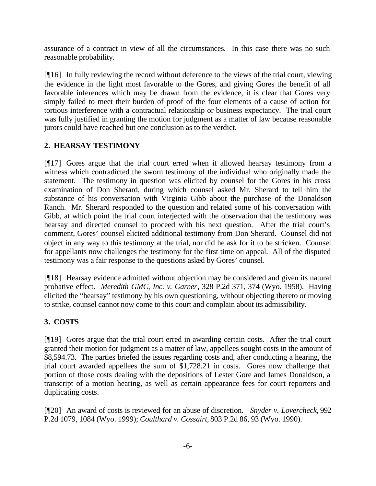assurance of a contract in view of all the circumstances. In this case there was no such reasonable probability.

[¶16] In fully reviewing the record without deference to the views of the trial court, viewing the evidence in the light most favorable to the Gores, and giving Gores the benefit of all favorable inferences which may be drawn from the evidence, it is clear that Gores very simply failed to meet their burden of proof of the four elements of a cause of action for tortious interference with a contractual relationship or business expectancy. The trial court was fully justified in granting the motion for judgment as a matter of law because reasonable jurors could have reached but one conclusion as to the verdict.

# **2. HEARSAY TESTIMONY**

[¶17] Gores argue that the trial court erred when it allowed hearsay testimony from a witness which contradicted the sworn testimony of the individual who originally made the statement. The testimony in question was elicited by counsel for the Gores in his cross examination of Don Sherard, during which counsel asked Mr. Sherard to tell him the substance of his conversation with Virginia Gibb about the purchase of the Donaldson Ranch. Mr. Sherard responded to the question and related some of his conversation with Gibb, at which point the trial court interjected with the observation that the testimony was hearsay and directed counsel to proceed with his next question. After the trial court's comment, Gores' counsel elicited additional testimony from Don Sherard. Counsel did not object in any way to this testimony at the trial, nor did he ask for it to be stricken. Counsel for appellants now challenges the testimony for the first time on appeal. All of the disputed testimony was a fair response to the questions asked by Gores' counsel.

[¶18] Hearsay evidence admitted without objection may be considered and given its natural probative effect. *Meredith GMC, Inc. v. Garner*, 328 P.2d 371, 374 (Wyo. 1958). Having elicited the "hearsay" testimony by his own questioning, without objecting thereto or moving to strike, counsel cannot now come to this court and complain about its admissibility.

# **3. COSTS**

[¶19] Gores argue that the trial court erred in awarding certain costs. After the trial court granted their motion for judgment as a matter of law, appellees sought costs in the amount of \$8,594.73. The parties briefed the issues regarding costs and, after conducting a hearing, the trial court awarded appellees the sum of \$1,728.21 in costs. Gores now challenge that portion of those costs dealing with the depositions of Lester Gore and James Donaldson, a transcript of a motion hearing, as well as certain appearance fees for court reporters and duplicating costs.

[¶20] An award of costs is reviewed for an abuse of discretion. *Snyder v. Lovercheck,* 992 P.2d 1079, 1084 (Wyo. 1999); *Coulthard v. Cossairt,* 803 P.2d 86, 93 (Wyo. 1990).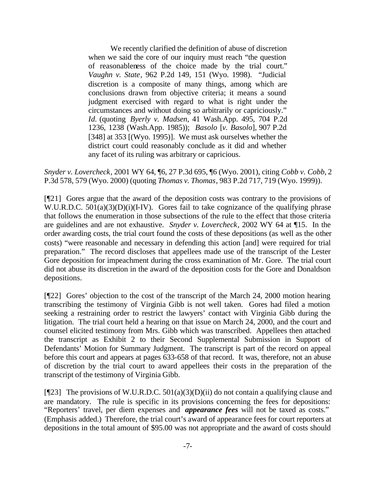We recently clarified the definition of abuse of discretion when we said the core of our inquiry must reach "the question of reasonableness of the choice made by the trial court." *Vaughn v. State*, 962 P.2d 149, 151 (Wyo. 1998). "Judicial discretion is a composite of many things, among which are conclusions drawn from objective criteria; it means a sound judgment exercised with regard to what is right under the circumstances and without doing so arbitrarily or capriciously." *Id.* (quoting *Byerly v. Madsen,* 41 Wash.App. 495, 704 P.2d 1236, 1238 (Wash.App. 1985)); *Basolo* [*v. Basolo*], 907 P.2d [348] at 353 [(Wyo. 1995)]. We must ask ourselves whether the district court could reasonably conclude as it did and whether any facet of its ruling was arbitrary or capricious.

*Snyder v. Lovercheck*, 2001 WY 64, ¶6, 27 P.3d 695, ¶6 (Wyo. 2001), citing *Cobb v. Cobb*, 2 P.3d 578, 579 (Wyo. 2000) (quoting *Thomas v. Thomas*, 983 P.2d 717, 719 (Wyo. 1999)).

[¶21] Gores argue that the award of the deposition costs was contrary to the provisions of W.U.R.D.C.  $501(a)(3)(D)(i)(I-IV)$ . Gores fail to take cognizance of the qualifying phrase that follows the enumeration in those subsections of the rule to the effect that those criteria are guidelines and are not exhaustive. *Snyder v. Lovercheck*, 2002 WY 64 at ¶15. In the order awarding costs, the trial court found the costs of these depositions (as well as the other costs) "were reasonable and necessary in defending this action [and] were required for trial preparation." The record discloses that appellees made use of the transcript of the Lester Gore deposition for impeachment during the cross examination of Mr. Gore. The trial court did not abuse its discretion in the award of the deposition costs for the Gore and Donaldson depositions.

[¶22] Gores' objection to the cost of the transcript of the March 24, 2000 motion hearing transcribing the testimony of Virginia Gibb is not well taken. Gores had filed a motion seeking a restraining order to restrict the lawyers' contact with Virginia Gibb during the litigation. The trial court held a hearing on that issue on March 24, 2000, and the court and counsel elicited testimony from Mrs. Gibb which was transcribed. Appellees then attached the transcript as Exhibit 2 to their Second Supplemental Submission in Support of Defendants' Motion for Summary Judgment. The transcript is part of the record on appeal before this court and appears at pages 633-658 of that record. It was, therefore, not an abuse of discretion by the trial court to award appellees their costs in the preparation of the transcript of the testimony of Virginia Gibb.

[ $[$ [23] The provisions of W.U.R.D.C. 501(a)(3)(D)(ii) do not contain a qualifying clause and are mandatory. The rule is specific in its provisions concerning the fees for depositions: "Reporters' travel, per diem expenses and *appearance fees* will not be taxed as costs." (Emphasis added.) Therefore, the trial court's award of appearance fees for court reporters at depositions in the total amount of \$95.00 was not appropriate and the award of costs should